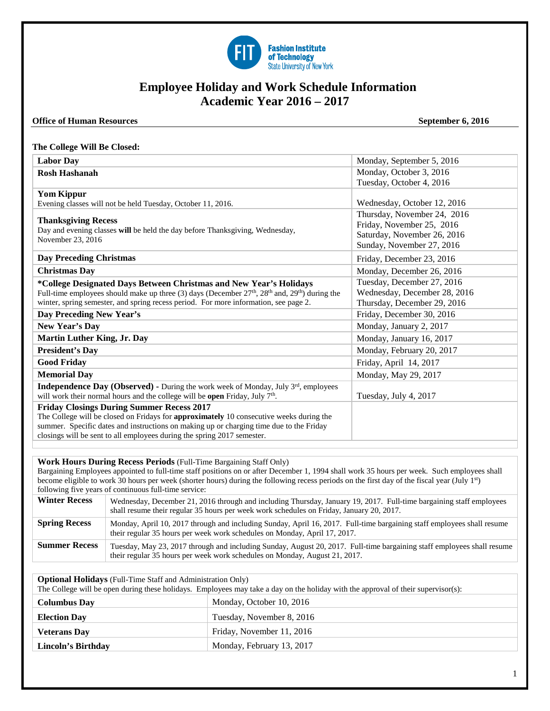

# **Employee Holiday and Work Schedule Information Academic Year 2016 – 2017**

### **Office of Human Resources** September 6, 2016

### **The College Will Be Closed:**

| <b>Labor Day</b>                                                                                     | Monday, September 5, 2016    |  |
|------------------------------------------------------------------------------------------------------|------------------------------|--|
| <b>Rosh Hashanah</b>                                                                                 | Monday, October 3, 2016      |  |
|                                                                                                      | Tuesday, October 4, 2016     |  |
| <b>Yom Kippur</b>                                                                                    |                              |  |
| Evening classes will not be held Tuesday, October 11, 2016.                                          | Wednesday, October 12, 2016  |  |
| <b>Thanksgiving Recess</b>                                                                           | Thursday, November 24, 2016  |  |
| Day and evening classes will be held the day before Thanksgiving, Wednesday,                         | Friday, November 25, 2016    |  |
| November 23, 2016                                                                                    | Saturday, November 26, 2016  |  |
|                                                                                                      | Sunday, November 27, 2016    |  |
| <b>Day Preceding Christmas</b>                                                                       | Friday, December 23, 2016    |  |
| <b>Christmas Day</b>                                                                                 | Monday, December 26, 2016    |  |
| *College Designated Days Between Christmas and New Year's Holidays                                   | Tuesday, December 27, 2016   |  |
| Full-time employees should make up three (3) days (December $27th$ , $28th$ and, $29th$ ) during the | Wednesday, December 28, 2016 |  |
| winter, spring semester, and spring recess period. For more information, see page 2.                 | Thursday, December 29, 2016  |  |
| Day Preceding New Year's                                                                             | Friday, December 30, 2016    |  |
| New Year's Day                                                                                       | Monday, January 2, 2017      |  |
| <b>Martin Luther King, Jr. Day</b>                                                                   | Monday, January 16, 2017     |  |
| <b>President's Day</b>                                                                               | Monday, February 20, 2017    |  |
| <b>Good Friday</b>                                                                                   | Friday, April 14, 2017       |  |
| <b>Memorial Day</b>                                                                                  | Monday, May 29, 2017         |  |
| <b>Independence Day (Observed)</b> - During the work week of Monday, July $3^{rd}$ , employees       |                              |  |
| will work their normal hours and the college will be open Friday, July 7 <sup>th</sup> .             | Tuesday, July 4, 2017        |  |
| <b>Friday Closings During Summer Recess 2017</b>                                                     |                              |  |
| The College will be closed on Fridays for approximately 10 consecutive weeks during the              |                              |  |
| summer. Specific dates and instructions on making up or charging time due to the Friday              |                              |  |
| closings will be sent to all employees during the spring 2017 semester.                              |                              |  |

### **Work Hours During Recess Periods** (Full-Time Bargaining Staff Only)

Bargaining Employees appointed to full-time staff positions on or after December 1, 1994 shall work 35 hours per week. Such employees shall become eligible to work 30 hours per week (shorter hours) during the following recess periods on the first day of the fiscal year (July 1<sup>st</sup>) following five years of continuous full-time service:

| <b>Winter Recess</b> | Wednesday, December 21, 2016 through and including Thursday, January 19, 2017. Full-time bargaining staff employees<br>shall resume their regular 35 hours per week work schedules on Friday, January 20, 2017. |
|----------------------|-----------------------------------------------------------------------------------------------------------------------------------------------------------------------------------------------------------------|
| <b>Spring Recess</b> | Monday, April 10, 2017 through and including Sunday, April 16, 2017. Full-time bargaining staff employees shall resume<br>their regular 35 hours per week work schedules on Monday, April 17, 2017.             |
| <b>Summer Recess</b> | Tuesday, May 23, 2017 through and including Sunday, August 20, 2017. Full-time bargaining staff employees shall resume<br>their regular 35 hours per week work schedules on Monday, August 21, 2017.            |

**Optional Holidays** (Full-Time Staff and Administration Only)

| The College will be open during these holidays. Employees may take a day on the holiday with the approval of their supervisor(s): |                           |  |
|-----------------------------------------------------------------------------------------------------------------------------------|---------------------------|--|
| <b>Columbus Day</b>                                                                                                               | Monday, October 10, 2016  |  |
| <b>Election Day</b>                                                                                                               | Tuesday, November 8, 2016 |  |
| <b>Veterans Dav</b>                                                                                                               | Friday, November 11, 2016 |  |
| <b>Lincoln's Birthday</b>                                                                                                         | Monday, February 13, 2017 |  |